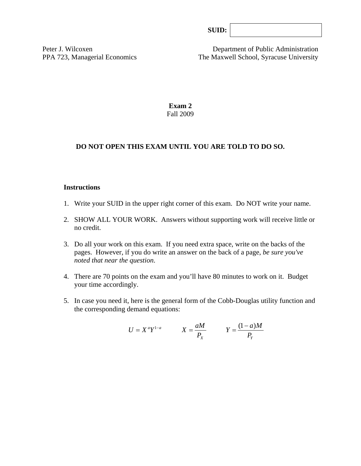Peter J. Wilcoxen Department of Public Administration PPA 723, Managerial Economics The Maxwell School, Syracuse University

> **Exam 2**  Fall 2009

#### **DO NOT OPEN THIS EXAM UNTIL YOU ARE TOLD TO DO SO.**

#### **Instructions**

- 1. Write your SUID in the upper right corner of this exam. Do NOT write your name.
- 2. SHOW ALL YOUR WORK. Answers without supporting work will receive little or no credit.
- 3. Do all your work on this exam. If you need extra space, write on the backs of the pages. However, if you do write an answer on the back of a page, *be sure you've noted that near the question*.
- 4. There are 70 points on the exam and you'll have 80 minutes to work on it. Budget your time accordingly.
- 5. In case you need it, here is the general form of the Cobb-Douglas utility function and the corresponding demand equations:

$$
U = X^a Y^{1-a} \qquad X = \frac{aM}{P_X} \qquad Y = \frac{(1-a)M}{P_Y}
$$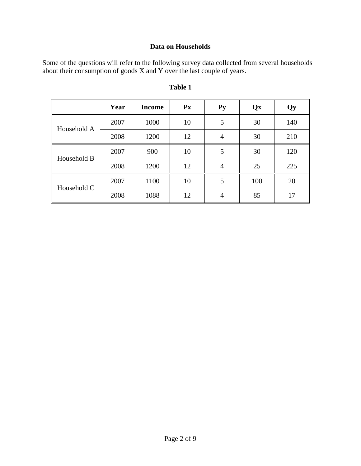# **Data on Households**

Some of the questions will refer to the following survey data collected from several households about their consumption of goods X and Y over the last couple of years.

|             | Year | <b>Income</b> | $\mathbf{P} \mathbf{x}$ | $Py$ | Qx  | Qy  |
|-------------|------|---------------|-------------------------|------|-----|-----|
| Household A | 2007 | 1000          | 10                      | 5    | 30  | 140 |
|             | 2008 | 1200          | 12                      | 4    | 30  | 210 |
| Household B | 2007 | 900           | 10                      | 5    | 30  | 120 |
|             | 2008 | 1200          | 12                      | 4    | 25  | 225 |
| Household C | 2007 | 1100          | 10                      | 5    | 100 | 20  |
|             | 2008 | 1088          | 12                      | 4    | 85  | 17  |

# **Table 1**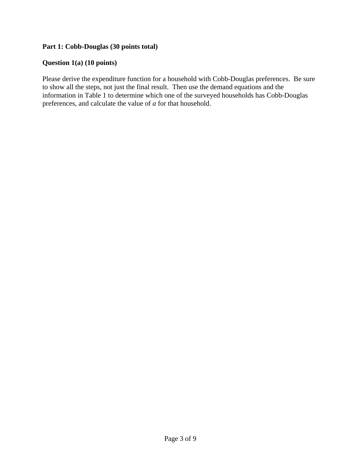#### **Part 1: Cobb-Douglas (30 points total)**

# **Question 1(a) (10 points)**

Please derive the expenditure function for a household with Cobb-Douglas preferences. Be sure to show all the steps, not just the final result. Then use the demand equations and the information in Table 1 to determine which one of the surveyed households has Cobb-Douglas preferences, and calculate the value of *a* for that household.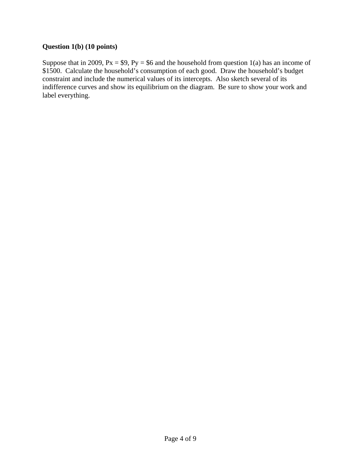#### **Question 1(b) (10 points)**

Suppose that in 2009,  $Px = $9$ ,  $Py = $6$  and the household from question 1(a) has an income of \$1500. Calculate the household's consumption of each good. Draw the household's budget constraint and include the numerical values of its intercepts. Also sketch several of its indifference curves and show its equilibrium on the diagram. Be sure to show your work and label everything.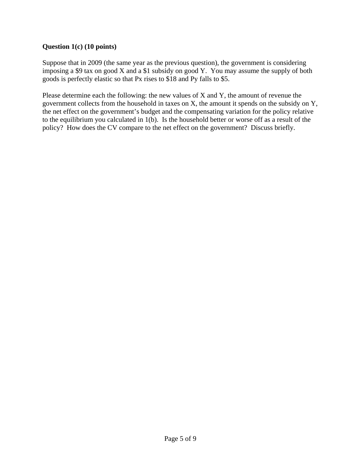# **Question 1(c) (10 points)**

Suppose that in 2009 (the same year as the previous question), the government is considering imposing a \$9 tax on good X and a \$1 subsidy on good Y. You may assume the supply of both goods is perfectly elastic so that Px rises to \$18 and Py falls to \$5.

Please determine each the following: the new values of X and Y, the amount of revenue the government collects from the household in taxes on X, the amount it spends on the subsidy on Y, the net effect on the government's budget and the compensating variation for the policy relative to the equilibrium you calculated in 1(b). Is the household better or worse off as a result of the policy? How does the CV compare to the net effect on the government? Discuss briefly.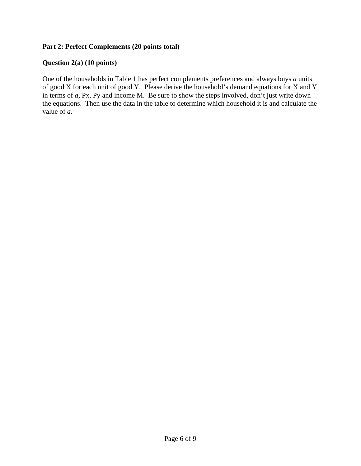# **Part 2: Perfect Complements (20 points total)**

#### **Question 2(a) (10 points)**

One of the households in Table 1 has perfect complements preferences and always buys *a* units of good X for each unit of good Y. Please derive the household's demand equations for X and Y in terms of *a,* Px, Py and income M. Be sure to show the steps involved, don't just write down the equations. Then use the data in the table to determine which household it is and calculate the value of *a*.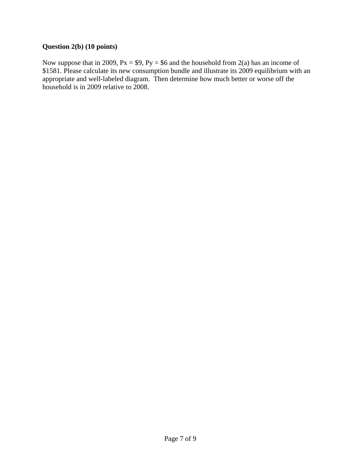# **Question 2(b) (10 points)**

Now suppose that in 2009,  $Px = $9$ ,  $Py = $6$  and the household from 2(a) has an income of \$1581. Please calculate its new consumption bundle and illustrate its 2009 equilibrium with an appropriate and well-labeled diagram. Then determine how much better or worse off the household is in 2009 relative to 2008.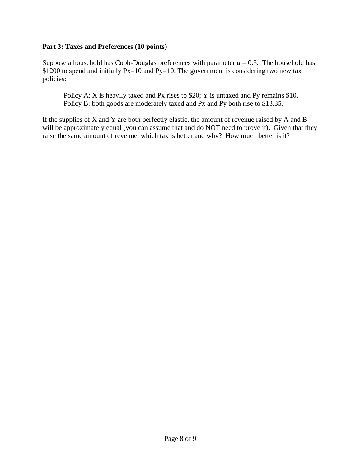#### **Part 3: Taxes and Preferences (10 points)**

Suppose a household has Cobb-Douglas preferences with parameter  $a = 0.5$ . The household has \$1200 to spend and initially  $Px=10$  and  $Py=10$ . The government is considering two new tax policies:

Policy A: X is heavily taxed and Px rises to \$20; Y is untaxed and Py remains \$10. Policy B: both goods are moderately taxed and Px and Py both rise to \$13.35.

If the supplies of X and Y are both perfectly elastic, the amount of revenue raised by A and B will be approximately equal (you can assume that and do NOT need to prove it). Given that they raise the same amount of revenue, which tax is better and why? How much better is it?